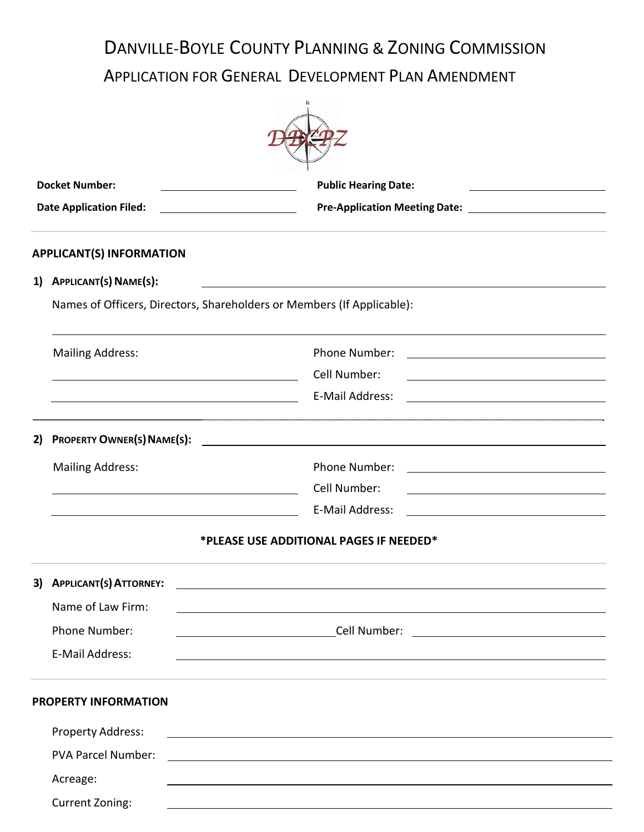# DANVILLE-BOYLE COUNTY PLANNING & ZONING COMMISSION

APPLICATION FOR GENERAL DEVELOPMENT PLAN AMENDMENT

|    | <b>Docket Number:</b>                                                                                                 | <b>Public Hearing Date:</b>                                                                                                                                                                                                   |  |  |  |  |  |
|----|-----------------------------------------------------------------------------------------------------------------------|-------------------------------------------------------------------------------------------------------------------------------------------------------------------------------------------------------------------------------|--|--|--|--|--|
|    | <b>Date Application Filed:</b>                                                                                        |                                                                                                                                                                                                                               |  |  |  |  |  |
|    | <b>APPLICANT(S) INFORMATION</b>                                                                                       |                                                                                                                                                                                                                               |  |  |  |  |  |
| 1) | APPLICANT(S) NAME(S):                                                                                                 |                                                                                                                                                                                                                               |  |  |  |  |  |
|    |                                                                                                                       | Names of Officers, Directors, Shareholders or Members (If Applicable):                                                                                                                                                        |  |  |  |  |  |
|    | <b>Mailing Address:</b>                                                                                               | Phone Number:                                                                                                                                                                                                                 |  |  |  |  |  |
|    | <u> 1980 - Johann Barbara, martin amerikan basar dan berasal dalam basar dalam basar dalam basar dalam basar dala</u> | Cell Number:                                                                                                                                                                                                                  |  |  |  |  |  |
|    |                                                                                                                       | E-Mail Address:                                                                                                                                                                                                               |  |  |  |  |  |
| 2) | <b>PROPERTY OWNER(S) NAME(S):</b>                                                                                     |                                                                                                                                                                                                                               |  |  |  |  |  |
|    | <b>Mailing Address:</b>                                                                                               | Phone Number:                                                                                                                                                                                                                 |  |  |  |  |  |
|    |                                                                                                                       | Cell Number:<br><u> 1980 - Johann Barn, mars ann an t-Amhain Aonaich an t-Aonaich an t-Aonaich ann an t-Aonaich ann an t-Aonaich</u>                                                                                          |  |  |  |  |  |
|    | <u> 1989 - Johann Barnett, fransk politik (d. 1989)</u>                                                               | E-Mail Address:                                                                                                                                                                                                               |  |  |  |  |  |
|    |                                                                                                                       | *PLEASE USE ADDITIONAL PAGES IF NEEDED*                                                                                                                                                                                       |  |  |  |  |  |
| 3) | <b>APPLICANT(S) ATTORNEY:</b>                                                                                         |                                                                                                                                                                                                                               |  |  |  |  |  |
|    | Name of Law Firm:                                                                                                     | the control of the control of the control of the control of the control of the control of the control of the control of the control of the control of the control of the control of the control of the control of the control |  |  |  |  |  |
|    | Phone Number:                                                                                                         |                                                                                                                                                                                                                               |  |  |  |  |  |
|    | E-Mail Address:                                                                                                       |                                                                                                                                                                                                                               |  |  |  |  |  |
|    | <b>PROPERTY INFORMATION</b>                                                                                           |                                                                                                                                                                                                                               |  |  |  |  |  |
|    | Property Address:                                                                                                     | <u> 1989 - Johann Stein, marwolaethau (b. 1989)</u>                                                                                                                                                                           |  |  |  |  |  |
|    | <b>PVA Parcel Number:</b>                                                                                             | <u> 1989 - Andrea Andrew Maria (h. 1989).</u>                                                                                                                                                                                 |  |  |  |  |  |
|    | Acreage:                                                                                                              |                                                                                                                                                                                                                               |  |  |  |  |  |
|    | <b>Current Zoning:</b>                                                                                                |                                                                                                                                                                                                                               |  |  |  |  |  |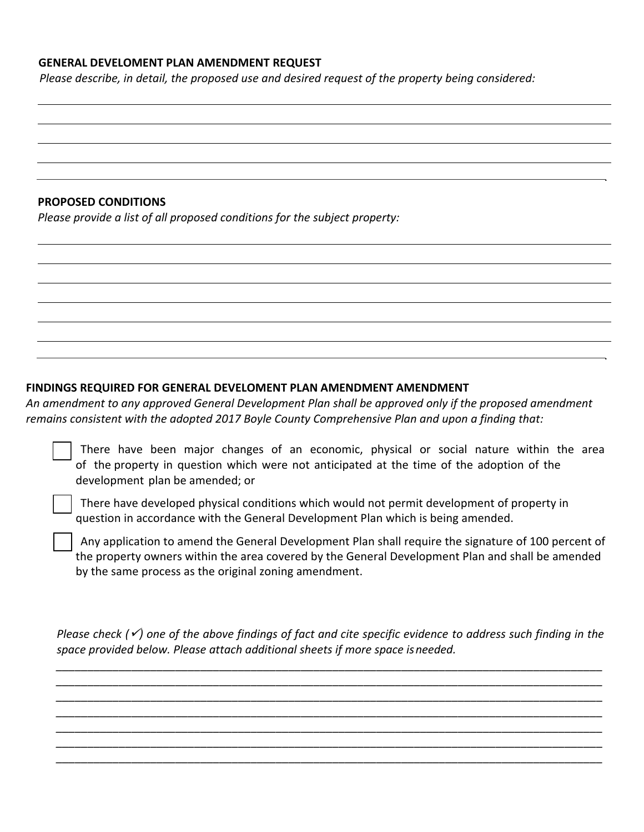### **GENERAL DEVELOMENT PLAN AMENDMENT REQUEST**

*Please describe, in detail, the proposed use and desired request of the property being considered:*

**PROPOSED CONDITIONS** 

*Please provide a list of all proposed conditions for the subject property:* 

#### **FINDINGS REQUIRED FOR GENERAL DEVELOMENT PLAN AMENDMENT AMENDMENT**

*An amendment to any approved General Development Plan shall be approved only if the proposed amendment remains consistent with the adopted 2017 Boyle County Comprehensive Plan and upon a finding that:*

|  |  |                                 |  | There have been major changes of an economic, physical or social nature within the area   |  |  |  |  |
|--|--|---------------------------------|--|-------------------------------------------------------------------------------------------|--|--|--|--|
|  |  |                                 |  | of the property in question which were not anticipated at the time of the adoption of the |  |  |  |  |
|  |  | development plan be amended; or |  |                                                                                           |  |  |  |  |

 There have developed physical conditions which would not permit development of property in question in accordance with the General Development Plan which is being amended.

 Any application to amend the General Development Plan shall require the signature of 100 percent of the property owners within the area covered by the General Development Plan and shall be amended by the same process as the original zoning amendment.

*Please check (*✓*) one of the above findings of fact and cite specific evidence to address such finding in the space provided below. Please attach additional sheets if more space isneeded.*

*\_\_\_\_\_\_\_\_\_\_\_\_\_\_\_\_\_\_\_\_\_\_\_\_\_\_\_\_\_\_\_\_\_\_\_\_\_\_\_\_\_\_\_\_\_\_\_\_\_\_\_\_\_\_\_\_\_\_\_\_\_\_\_\_\_\_\_\_\_\_\_\_\_\_\_\_\_\_\_\_\_\_\_\_\_\_\_ \_\_\_\_\_\_\_\_\_\_\_\_\_\_\_\_\_\_\_\_\_\_\_\_\_\_\_\_\_\_\_\_\_\_\_\_\_\_\_\_\_\_\_\_\_\_\_\_\_\_\_\_\_\_\_\_\_\_\_\_\_\_\_\_\_\_\_\_\_\_\_\_\_\_\_\_\_\_\_\_\_\_\_\_\_\_\_ \_\_\_\_\_\_\_\_\_\_\_\_\_\_\_\_\_\_\_\_\_\_\_\_\_\_\_\_\_\_\_\_\_\_\_\_\_\_\_\_\_\_\_\_\_\_\_\_\_\_\_\_\_\_\_\_\_\_\_\_\_\_\_\_\_\_\_\_\_\_\_\_\_\_\_\_\_\_\_\_\_\_\_\_\_\_\_ \_\_\_\_\_\_\_\_\_\_\_\_\_\_\_\_\_\_\_\_\_\_\_\_\_\_\_\_\_\_\_\_\_\_\_\_\_\_\_\_\_\_\_\_\_\_\_\_\_\_\_\_\_\_\_\_\_\_\_\_\_\_\_\_\_\_\_\_\_\_\_\_\_\_\_\_\_\_\_\_\_\_\_\_\_\_\_ \_\_\_\_\_\_\_\_\_\_\_\_\_\_\_\_\_\_\_\_\_\_\_\_\_\_\_\_\_\_\_\_\_\_\_\_\_\_\_\_\_\_\_\_\_\_\_\_\_\_\_\_\_\_\_\_\_\_\_\_\_\_\_\_\_\_\_\_\_\_\_\_\_\_\_\_\_\_\_\_\_\_\_\_\_\_\_ \_\_\_\_\_\_\_\_\_\_\_\_\_\_\_\_\_\_\_\_\_\_\_\_\_\_\_\_\_\_\_\_\_\_\_\_\_\_\_\_\_\_\_\_\_\_\_\_\_\_\_\_\_\_\_\_\_\_\_\_\_\_\_\_\_\_\_\_\_\_\_\_\_\_\_\_\_\_\_\_\_\_\_\_\_\_\_ \_\_\_\_\_\_\_\_\_\_\_\_\_\_\_\_\_\_\_\_\_\_\_\_\_\_\_\_\_\_\_\_\_\_\_\_\_\_\_\_\_\_\_\_\_\_\_\_\_\_\_\_\_\_\_\_\_\_\_\_\_\_\_\_\_\_\_\_\_\_\_\_\_\_\_\_\_\_\_\_\_\_\_\_\_\_\_*